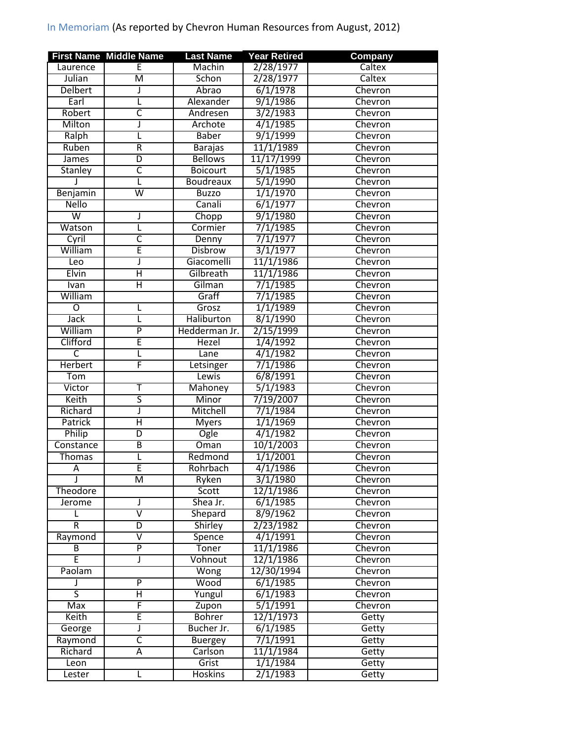## In Memoriam (As reported by Chevron Human Resources from August, 2012)

|                         | <b>First Name Middle Name</b> | <b>Last Name</b>          | <b>Year Retired</b> | Company |
|-------------------------|-------------------------------|---------------------------|---------------------|---------|
| Laurence                | E                             | Machin                    | 2/28/1977           | Caltex  |
| Julian                  | $\overline{\mathsf{M}}$       | Schon                     | 2/28/1977           | Caltex  |
| Delbert                 | J                             | Abrao                     | 6/1/1978            | Chevron |
| Earl                    | L                             | Alexander                 | 9/1/1986            | Chevron |
| Robert                  | $\overline{\mathsf{C}}$       | Andresen                  | 3/2/1983            | Chevron |
| Milton                  | J                             | Archote                   | 4/1/1985            | Chevron |
| Ralph                   | L                             | <b>Baber</b>              | 9/1/1999            | Chevron |
| Ruben                   | $\overline{R}$                | <b>Barajas</b>            | 11/1/1989           | Chevron |
| <b>James</b>            | D                             | <b>Bellows</b>            | 11/17/1999          | Chevron |
| <b>Stanley</b>          | $\overline{\mathsf{C}}$       | <b>Boicourt</b>           | 5/1/1985            | Chevron |
|                         | L                             | <b>Boudreaux</b>          | 5/1/1990            | Chevron |
| Benjamin                | $\overline{\mathsf{w}}$       | <b>Buzzo</b>              | 1/1/1970            | Chevron |
| <b>Nello</b>            |                               | Canali                    | 6/1/1977            | Chevron |
| $\overline{\mathsf{w}}$ |                               | Chopp                     | 9/1/1980            | Chevron |
| Watson                  | L                             | Cormier                   | 7/1/1985            | Chevron |
| Cyril                   | $\overline{\mathsf{C}}$       | Denny                     | 7/1/1977            | Chevron |
| William                 | Ē                             | <b>Disbrow</b>            | 3/1/1977            | Chevron |
| Leo                     | J                             | Giacomelli                | 11/1/1986           | Chevron |
| <b>Elvin</b>            | $\overline{\sf H}$            | Gilbreath                 | 11/1/1986           | Chevron |
| Ivan                    | Η                             | Gilman                    | 7/1/1985            | Chevron |
| William                 |                               | Graff                     | 7/1/1985            | Chevron |
| $\overline{O}$          |                               | Grosz                     | 1/1/1989            | Chevron |
| Jack                    | L                             | <b>Haliburton</b>         | 8/1/1990            | Chevron |
| William                 | $\overline{P}$                | Hedderman Jr.             | 2/15/1999           | Chevron |
| Clifford                | Ē                             | <b>Hezel</b>              | 1/4/1992            | Chevron |
| ਟ                       | L                             | Lane                      | 4/1/1982            | Chevron |
| <b>Herbert</b>          | F                             | Letsinger                 | 7/1/1986            | Chevron |
| Tom                     |                               | Lewis                     | 6/8/1991            | Chevron |
| Victor                  | Т                             | Mahoney                   | 5/1/1983            | Chevron |
| Keith                   | $\overline{\mathsf{S}}$       | Minor                     | 7/19/2007           | Chevron |
| Richard                 | J                             | Mitchell                  | 7/1/1984            | Chevron |
| Patrick                 | Η                             | <b>Myers</b>              | 1/1/1969            | Chevron |
| Philip                  | $\overline{D}$                | <b>Ogle</b>               | 4/1/1982            | Chevron |
| Constance               | B                             | $\overline{\text{O}}$ man | 10/1/2003           | Chevron |
| <b>Thomas</b>           | L                             | Redmond                   | 1/1/2001            | Chevron |
| A                       | Ē                             | Rohrbach                  | 4/1/1986            | Chevron |
| J                       | M                             | Ryken                     | 3/1/1980            | Chevron |
| Theodore                |                               | Scott                     | 12/1/1986           | Chevron |
| Jerome                  |                               | Shea Jr.                  | 6/1/1985            | Chevron |
| L                       | $\overline{\mathsf{v}}$       | Shepard                   | 8/9/1962            | Chevron |
| $\overline{R}$          | D                             | Shirley                   | 2/23/1982           | Chevron |
| Raymond                 | $\overline{\mathsf{v}}$       | Spence                    | 4/1/1991            | Chevron |
| B                       | $\overline{\mathsf{P}}$       | Toner                     | 11/1/1986           | Chevron |
| Ē                       | J                             | Vohnout                   | 12/1/1986           | Chevron |
| Paolam                  |                               | Wong                      | 12/30/1994          | Chevron |
|                         | P                             | Wood                      | 6/1/1985            | Chevron |
| $\overline{\mathsf{s}}$ | Η                             | Yungul                    | 6/1/1983            | Chevron |
| Max                     | F                             | Zupon                     | 5/1/1991            | Chevron |
| Keith                   | E                             | <b>Bohrer</b>             | 12/1/1973           | Getty   |
| George                  | J                             | Bucher Jr.                | $\sqrt{6/1/1985}$   | Getty   |
| Raymond                 | C                             | <b>Buergey</b>            | 7/1/1991            | Getty   |
| Richard                 | А                             | Carlson                   | 11/1/1984           | Getty   |
| Leon                    |                               | Grist                     | 1/1/1984            | Getty   |
| Lester                  | L                             | <b>Hoskins</b>            | 2/1/1983            | Getty   |
|                         |                               |                           |                     |         |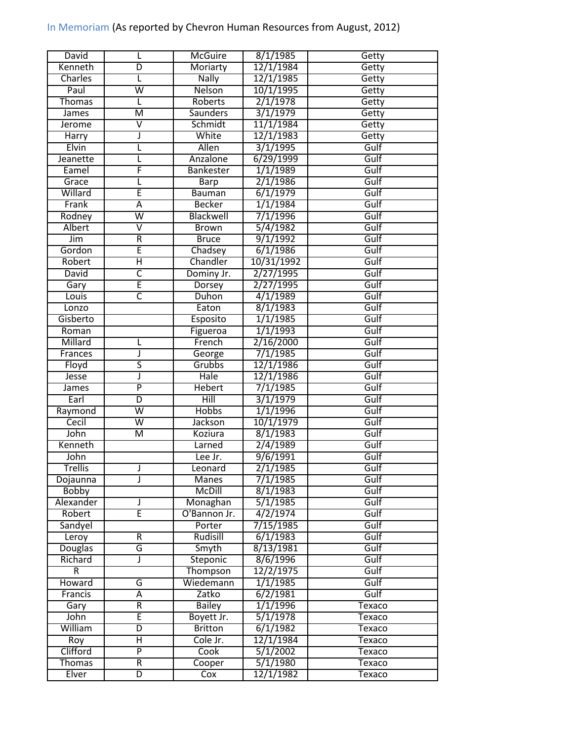## In Memoriam (As reported by Chevron Human Resources from August, 2012)

| David                  | L                       | <b>McGuire</b>     | 8/1/1985              | Getty            |
|------------------------|-------------------------|--------------------|-----------------------|------------------|
| Kenneth                | D                       | Moriarty           | 12/1/1984             | Getty            |
| Charles                | L                       | Nally              | 12/1/1985             | Getty            |
| Paul                   | $\overline{\mathsf{w}}$ | Nelson             | 10/1/1995             | Getty            |
| <b>Thomas</b>          | L                       | Roberts            | 2/1/1978              | Getty            |
| James                  | $\overline{\mathsf{M}}$ | <b>Saunders</b>    | 3/1/1979              | Getty            |
| Jerome                 | $\overline{\mathsf{V}}$ | Schmidt            | 11/1/1984             | Getty            |
| Harry                  | J                       | White              | 12/1/1983             | Getty            |
| Elvin                  | L                       | Allen              | 3/1/1995              | Gulf             |
| Jeanette               | L                       | Anzalone           | 6/29/1999             | Gulf             |
| Eamel                  | F                       | Bankester          | 1/1/1989              | Gulf             |
| Grace                  |                         | Barp               | 2/1/1986              | Gulf             |
| Willard                | E                       | <b>Bauman</b>      | 6/1/1979              | Gulf             |
| Frank                  | $\overline{A}$          | <b>Becker</b>      | 1/1/1984              | Gulf             |
| Rodney                 | $\overline{\mathsf{w}}$ | Blackwell          | 7/1/1996              | Gulf             |
| Albert                 | $\overline{\mathsf{v}}$ | <b>Brown</b>       | 5/4/1982              | Gulf             |
| Jim                    | $\overline{R}$          | <b>Bruce</b>       | 9/1/1992              | Gulf             |
| Gordon                 | Ē                       | Chadsey            | 6/1/1986              | Gulf             |
| Robert                 | Η                       | Chandler           | 10/31/1992            | Gulf             |
| David                  | $\overline{\mathsf{c}}$ | Dominy Jr.         | 2/27/1995             | Gulf             |
| Gary                   | Ē                       | Dorsey             | 2/27/1995             | Gulf             |
| Louis                  | $\overline{\mathsf{c}}$ | Duhon              | 4/1/1989              | Gulf             |
| Lonzo                  |                         | Eaton              | 8/1/1983              | Gulf             |
| Gisberto               |                         | Esposito           | 1/1/1985              | Gulf             |
|                        |                         |                    | 1/1/1993              | Gulf             |
| Roman<br>Millard       |                         | Figueroa<br>French | 2/16/2000             | Gulf             |
|                        | L                       |                    |                       |                  |
| Frances                | J                       | George             | 7/1/1985              | Gulf             |
| Floyd                  | $\overline{\mathsf{s}}$ | Grubbs<br>Hale     | 12/1/1986             | Gulf             |
| Jesse                  | J<br>$\overline{P}$     |                    | 12/1/1986             | Gulf             |
| James                  |                         | <b>Hebert</b>      | 7/1/1985              | Gulf             |
| Earl                   | D                       | Hill               | 3/1/1979              | Gulf             |
| Raymond                | $\overline{\mathsf{w}}$ | <b>Hobbs</b>       | 1/1/1996              | Gulf             |
| Cecil                  | $\overline{\mathsf{W}}$ | Jackson            | 10/1/1979             | Gulf             |
| John                   | $\overline{\mathsf{M}}$ | Koziura            | 8/1/1983              | Gulf             |
| Kenneth                |                         | Larned             | 2/4/1989              | Gulf             |
| John                   |                         | Lee Jr.            | 9/6/1991              | Gulf             |
| <b>Trellis</b>         | J                       | Leonard            | 2/1/1985              | Gulf             |
| Dojaunna               | J                       | Manes              | 7/1/1985              | Gulf             |
| <b>Bobby</b>           |                         | <b>McDill</b>      | 8/1/1983              | Gulf             |
| Alexander              | J                       | Monaghan           | 5/1/1985              | Gulf             |
| Robert                 | Έ                       | O'Bannon Jr.       | 4/2/1974              | Gulf             |
| Sandyel                |                         | Porter             | 7/15/1985             | Gulf             |
| Leroy                  | R                       | Rudisill           | 6/1/1983              | Gulf             |
| <b>Douglas</b>         | G                       | Smyth              | 8/13/1981             | Gulf             |
| Richard                | J                       | Steponic           | 8/6/1996              | Gulf             |
| $\overline{R}$         |                         | Thompson           | 12/2/1975             | Gulf             |
| Howard                 | G                       | Wiedemann          | 1/1/1985              | Gulf             |
| Francis                | Ā                       | Zatko              | $\sqrt{6/2/1981}$     | Gulf             |
| Gary                   | $\overline{R}$          | <b>Bailey</b>      | 1/1/1996              | Texaco           |
| John                   | E                       | Boyett Jr.         | 5/1/1978              | Texaco           |
| William                | D                       | <b>Britton</b>     | $\sqrt{6/1/1982}$     | Texaco           |
|                        |                         |                    |                       |                  |
| Roy                    | Η                       | Cole Jr.           | 12/1/1984             | Texaco           |
| Clifford               | $\overline{P}$          | Cook               | 5/1/2002              | Texaco           |
| <b>Thomas</b><br>Elver | $\overline{R}$          | Cooper<br>Cox      | 5/1/1980<br>12/1/1982 | Texaco<br>Texaco |